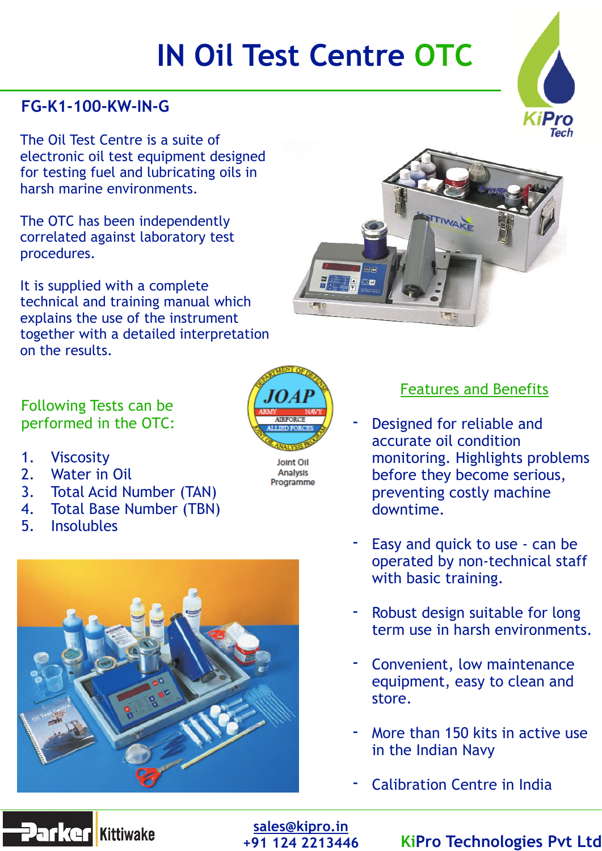# **IN Oil Test Centre OTC**

# **FG-K1-100-KW-IN-G**

The Oil Test Centre is a suite of electronic oil test equipment designed for testing fuel and lubricating oils in harsh marine environments.

The OTC has been independently correlated against laboratory test procedures.

It is supplied with a complete technical and training manual which explains the use of the instrument together with a detailed interpretation on the results.

#### Following Tests can be performed in the OTC:

- 1. Viscosity
- 2. Water in Oil
- 3. Total Acid Number (TAN)
- 4. Total Base Number (TBN)
- 5. Insolubles





Joint Oil Analysis Programme



- Designed for reliable and accurate oil condition monitoring. Highlights problems before they become serious, preventing costly machine downtime.
- Easy and quick to use can be operated by non-technical staff with basic training.
- Robust design suitable for long term use in harsh environments.
- Convenient, low maintenance equipment, easy to clean and store.
- More than 150 kits in active use in the Indian Navy
- Calibration Centre in India





**[sales@kipro.in](mailto:sales@kipro.in)**

## **+91 124 2213446 KiPro Technologies Pvt Ltd**